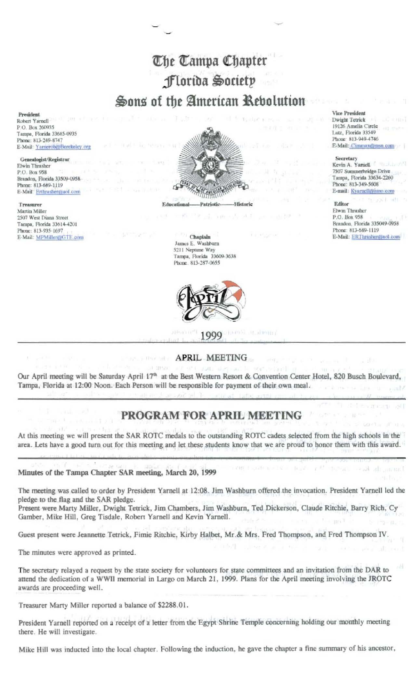# The Tampa Chapter Florida Society Sons of the American Rebolution

President Robert Yarnell P.O. Box 260935 Tampa, Florida 33685-0935 Phone: 813-249-8747 E-Mail: Yarnerob@Berekeley.org

Genealogist/Registrar Elwin Thrasher P.O. Box 958 Brandon, Florida 33509-0958 Phone: 813-689-1119 E-Mail: Erthrastier@aol.com

Treasurer Martin Miller 2507 West Diana Street Tampa, Florida 33614-4201 Phone: 813-935-1697 E-Mail: MPMillery@GTE.com



#### Chaplain James E. Washburn 5211 Neptune Way Tampa, Florida 33609-3638 Phone. 813-287-0655



11. H 10111 999

## **APRIL MEETING**

Our April meeting will be Saturday April 17<sup>th</sup> at the Best Western Resort & Convention Center Hotel, 820 Busch Boulevard, Tampa, Florida at 12:00 Noon. Each Person will be responsible for payment of their own meal.

# PROGRAM FOR APRIL MEETING

At this meeting we will present the SAR ROTC medals to the outstanding ROTC cadets selected from the high schools in the area. Lets have a good turn out for this meeting and let these students know that we are proud to honor them with this award.

### Minutes of the Tampa Chapter SAR meeting, March 20, 1999

The meeting was called to order by President Yarnell at 12:08. Jim Washburn offered the invocation. President Yarnell led the pledge to the flag and the SAR pledge.

Present were Marty Miller, Dwight Tetrick, Jim Chambers, Jim Washburn, Ted Dickerson, Claude Ritchie, Barry Rich, Cy Gamber, Mike Hill, Greg Tisdale, Robert Yarnell and Kevin Yarnell.

Guest present were Jeannette Tetrick, Fimie Ritchie, Kirby Halbet, Mr. & Mrs. Fred Thompson, and Fred Thompson IV.

The minutes were approved as printed.

The secretary relayed a request by the state society for volunteers for state committees and an invitation from the DAR to attend the dedication of a WWII memorial in Largo on March 21, 1999. Plans for the April meeting involving the JROTC awards are proceeding well.

Treasurer Marty Miller reported a balance of \$2288.01.

President Yarnell reported on a receipt of a letter from the Egypt Shrine Temple concerning holding our monthly meeting there. He will investigate.

Mike Hill was inducted into the local chapter. Following the induction, he gave the chapter a fine summary of his ancestor,

**Vice President** 

Dwight Tetrick 19126 Amelia Circle Lutz, Florida 33549 Phone: 813-949-4746 E-Mail: Cimmax@msn.com

### Secretary

Kevin A. Yarnell 7507 Summerbridge Drive Tampa, Florida 33634-2260 Phone: 813-349-5608 E-mail: Kyarnell@juno.com

Editor Elwin Thrasher P.O. Box 958 Brandon, Florida 335049-0958 Phone: 813-689-1119 E-Mail: ERThrasher@aol.com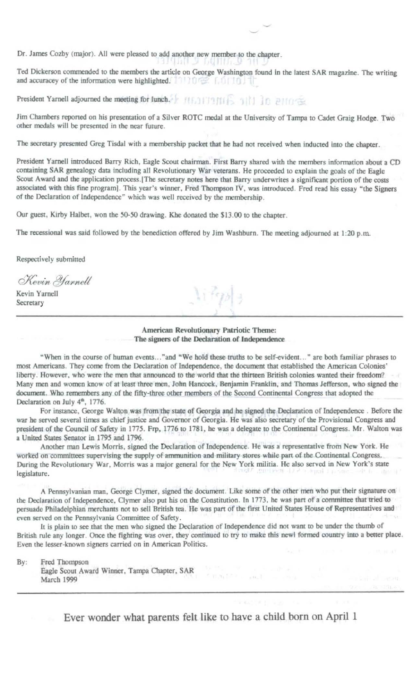Dr. James Cozby (major). All were pleased to add another new member to the chapter.

פאחונטת עיתונו, Ted Dickerson commended to the members the article on George Washington found in the latest SAR magazine. The writing and accuracey of the information were highlighted. The model for the model of

President Yarnell adjourned the meeting for lunch. Free area of the Sales and the Barrell

Jim Chambers reported on his presentation of a Silver ROTC medal at the University of Tampa to Cadet Graig Hodge. Two other medals will be presented in the near future.

The secretary presented Greg Tisdal with a membership packet that he had not received when inducted into the chapter.

President Yarnell introduced Barry Rich, Eagle Scout chairman. First Barry shared with the members information about a CD containing SAR genealogy data including all Revolutionary War veterans. He proceeded to explain the goals of the Eagle Scout Award and the application process. [The secretary notes here that Barry underwrites a significant portion of the costs associated with this fine program]. This year's winner, Fred Thompson IV, was introduced. Fred read his essay "the Signers of the Declaration of Independence" which was well received by the membership.

Our guest, Kirby Halbet, won the 50-50 drawing. Khe donated the \$13.00 to the chapter.

The recessional was said followed by the benediction offered by Jim Washburn. The meeting adjourned at 1:20 p.m.

Respectively submitted

Kevin Yarnell

Kevin Yarnell Secretary

American Revolutionary Patriotic Theme: The signers of the Declaration of Independence

"When in the course of human events..."and "We hold these truths to be self-evident..." are both familiar phrases to most Americans. They come from the Declaration of Independence, the document that established the American Colonies' liberty. However, who were the men that announced to the world that the thirteen British colonies wanted their freedom? Many men and women know of at least three men, John Hancock, Benjamin Franklin, and Thomas Jefferson, who signed the document. Who remembers any of the fifty-three other members of the Second Continental Congress that adopted the Declaration on July 4<sup>th</sup>, 1776.

For instance, George Walton was from the state of Georgia and he signed the Declaration of Independence. Before the war he served several times as chief justice and Governor of Georgia. He was also secretary of the Provisional Congress and president of the Council of Safety in 1775. Frp, 1776 to 1781, he was a delegate to the Continental Congress. Mr. Walton was a United States Senator in 1795 and 1796.

Another man Lewis Morris, signed the Declaration of Independence. He was a representative from New York. He worked on committees supervising the supply of ammunition and military stores while part of the Continental Congress. During the Revolutionary War, Morris was a major general for the New York militia. He also served in New York's state legislature.

A Pennsylvanian man, George Clymer, signed the document. Like some of the other men who put their signature on the Declaration of Independence, Clymer also put his on the Constitution. In 1773, he was part of a committee that tried to persuade Philadelphian merchants not to sell British tea. He was part of the first United States House of Representatives and even served on the Pennsylvania Committee of Safety.

It is plain to see that the men who signed the Declaration of Independence did not want to be under the thumb of British rule any longer. Once the fighting was over, they continued to try to make this newl formed country into a better place. Even the lesser-known signers carried on in American Politics.

By: Fred Thompson

Eagle Scout Award Winner, Tampa Chapter, SAR March 1999

Ever wonder what parents felt like to have a child born on April 1